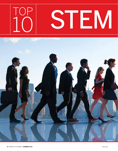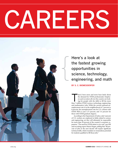# CARERS



Here's a look at the fastest growing opportunities in science, technology, engineering, and math

**By S. C. Biemesderfer**

here's been more and more buzz lately about<br>the demand for STEM professionals. Employ-<br>ers and recruiters all over the country are look-<br>ing for people with the skills to fill the more<br>than 7 million STEM (science, technol here's been more and more buzz lately about the demand for STEM professionals. Employers and recruiters all over the country are looking for people with the skills to fill the more and mathematics) jobs. While the current national unemployment rate is in the neighborhood of 7 percent to 8 percent, the unemployment rate for U.S. citizens with STEM PhDs is just 3.15 percent, and 3.4 percent for those with STEM graduate degrees.

According to the Department of Labor, only 5 percent of U.S. workers are employed in fields related to science and engineering, yet they will ultimately be responsible for more than 50 percent of the country's economic expansion. "The need for STEM talent is very real," says HR and recruiting expert Maren Hogan, adding that "80 percent of jobs in the next decade will require significant technical skills, which translates to tremendous potential for students qualified to fill those jobs."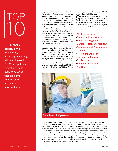

"STEM spells opportunity in many ways, including financially, with employees in STEM occupations typically earning average salaries that are higher than those of employees in other fields."

Hogan and STEM advocates such as Edie Fraser, CEO of STEMconnector, strongly encourage students with STEM aptitude to seize the opportunity at hand. "There has never been a more important time to focus on our students, and there has never been a more important time to be sure that all students are prepared for the workforce, especially STEM jobs, and especially our minority and female students," says Fraser. Science and engineering job opportunities are expected to increase by more than 20 percent over the next five years — more than double the rate of the overall workforce, with projections of as many as 8.65 million STEM jobs in the U.S. labor market by 2018.

STEM spells opportunity in many ways, including financially, with employees in STEM occupations typically earning average salaries that are higher than those of employees in other fields. In PayScale's list of 130 top-tier salaries for entry-level through midcareer jobs, the top 13 rankings were STEM positions, and they accounted for 40 of the top 50 careers on the list. Starting annual salaries are reported to range from \$50,000 to \$100,000, with midcareer STEM professionals earning salaries in the range of \$100,000 to more than \$160,000 a year.

So what could this mean for you? If you're interested in being one of the sought-<br>after 8.65 million, we've done some interested in being one of the soughthomework for you. Here's what you need to know about the top 10 careers for aspiring STEM professionals. And those fields are (in no particular order):

- **Nuclear Engineer**
- Database Administrator
- **Aerospace Engineer**
- **Computer Network Architect**
- Geoscientist and Environmental **Scientist**
- <sup>l</sup> Petroleum Engineer
- **Engineering Manager**
- Statistician
- **Biomedical Engineer**
- Actuary



How about working with atomic particles? Being a nuclear engineer generally involves complex projects with a very specific focus. Some nuclear engineers specialize in nuclear fission that powers reactors, some help develop radiological tools for medical treatments and disease diagnosis, some focus on the safe handling of nuclear waste or disposal of nuclear fuel, while others work in the defense industry and weapons development. There are also nuclear physicists who work in laboratory settings doing more theoretical and experimental work for educational or research organizations. Many nuclear engineering jobs are government positions, but there are also opportunities in private sector companies. The starting point for nuclear engineers is what you might think: an undergraduate degree in nuclear engineering. Median annual pay: **\$107,000.**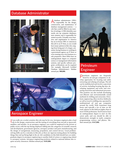# Database Administrator



database administrator (DBA) **is** responsible for the design, construction, and maintenance of database management systems — a role that could be filled in any number of settings. A DBA identifies user needs, sets up computer databases, tests systems, and is responsible for system security. Virtually every business and organization in America has an in-house DBA or outsources this job to an IT firm, so you would have many options in this role, ranging from being part of a larger, consumer-facing business to working in a government agency, an IT firm, or even running your own business as a sole proprietor. Most DBAs have an undergraduate degree in computer science or management information systems, and specific software program certifications can be required (for example, Microsoft Certified Database Administrator). Median annual pay: **\$80,000.**



#### Aerospace Engineer

 $\mid$  f you really are a rocket scientist, this role may be for you. Aerospace engineers play a lead role in the design, construction, and the testing of everything from aircraft to spacecraft, f you really are a rocket scientist, this role may be for you. Aerospace engineers play a lead satellites, and missiles. As an aerospace engineer, you could be employed in the private or public sector, with the top-hiring employers falling into the categories of scientific research and development, government agencies, aerospace product and parts manufacturing, and the design of navigational, measuring, propulsion, and control devices. Good problemsolving skills can be a real plus in this job, as there are rigorous testing phases for building things that end up flying high in the air. Job candidates in this field should have an undergraduate degree in aerospace engineering or another field of science or engineering related to aerospace systems. Aerospace engineering positions related to national defense also require security clearances. Median annual pay: **\$105,000.**



Petroleum engineers are frequently hired by oil and gas companies to develop approaches for locating and safely extracting and refining oil and gas. The job can be multifaceted and involve a spectrum of activity, including locating dig sites, developing equipment and tools, and overseeing extraction and refinement processes. This position can also include developing cost-efficient and environmentally sound methods for drilling and extraction. Petroleum engineering often involves fieldwork, as well as travel to drilling sites operated by multinational oil and gas companies around the world. With sometimes long hours and typically a lot of time on the road, salaries in this field are higher than in most STEM professions. You'll need at least an undergraduate degree to start on this career path, and you should be able to demonstrate strength in math, computer programming, science, and physics. Median annual pay: **\$147,000.**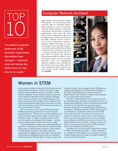

"In addition to greater awareness of the economic opportunity, stereotypes have changed — and both male and female students know it's cool now to be a geek."

### Computer Network Architect

computer network architect designs computer and telecommunications networks, often as a specialist within a larger company, or as part of an IT firm. This job requires expertise in hardware and software, and the ability to grasp an organization's needs across the entire range of users. Depending on the size of an organization, a network architect may also help coordinate network construction as well as maintenance, repairs, or upgrades. Rather than being an entrylevel position, this is typically a supervisory role for someone who's been working with networks for several years. Success as a computer network architect calls for a great deal of analysis and precision, strong listening skills, the ability to innovate, and the capacity to work with deadline-driven stress. An undergraduate degree in computer science will help you get started on this career path, and specific certifications may be required (e.g., Cisco, Nortel, Novell). Median annual pay: **\$94,000.**



# Women in STEM

According to the Institute for Women's Policy Research and the National Coalition for Women and Girls in Education, female students represent fewer than one in four students in STEM education programs. And according to a study by researchers at the University of Pittsburgh and the University of Michigan, women may be less likely to work in STEM professions out of choice, not because of lack of ability. In fact, researchers found that female students with high scores for both verbal and math skills were less likely to pursue STEM careers because they had more career options to consider.

But in an economy in such need of STEM professionals, STEM advocates are urging women to recognize the great opportunity at hand. "This has never been more important, and I think we will see interest continue to grow," says HR consultant Maren Hogan. "In addition to greater awareness of the economic opportunity, stereotypes have changed — and both male and female students know it's cool now to be a geek."

Cheryl Birdsong-Dyer, a network access planning analyst for Sprint and a spokeswoman for the American Society for Quality (ASQ), points out that risk taking is required to solve problems in STEM settings, and that in a recent ASQ survey that characteristic was flagged as an issue for girls. The study found that 58 percent of teenage girls said they felt uncomfortable or afraid when facing a difficult problem in school, compared with

34 percent of boys. "We encourage kids with STEM skills and interests, particularly girls, to understand that risk taking is a part of life," says Birdsong-Dyer, "and that every failure, whether failure to solve a problem or failure to land a particular job, is an opportunity to learn and grow."

A number of organizations are now working to help close the STEM gender gap. Girls Who Code (girlswhocode.com), for example, was established in 2012 to help equip young women across the country with skills and resources to pursue academic opportunities in computing fields. STEMconnector has released "100 Women Leaders in STEM" (stemconnector .org/100women), a publication in which successful STEM women talk about their commitment to be mentors and sponsors to those who aspire to follow in their footsteps. In addition, the Committee on Women in Science, Engineering, and Medicine (CWSEM), a standing committee of the National Research Council (NRC), continues to step up its efforts to encourage women to pursue STEM professions (sites.nationalacademies.org/PGA/cwsem).

The bottom line: If you are a female student with an interest in STEM, it definitely goes both ways — STEM is interested in you. Identify the job that speaks to you, read about role models, consider finding a mentor, and step up and get the skills you'll need to compete for those jobs! — S.B.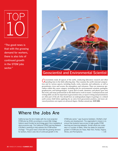# Top 10

"The good news is that with the growing demand for workers, there is also lots of continued growth in the STEM jobs sector."



### Geoscientist and Environmental Scientist

Geoscientists study all aspects of the earth, conducting laboratory research and often spending time in the field collecting data. They examine the earth's internal composition and its various aspects, including fossils, rocks, minerals, and sediments, as well as groundwater, rivers and oceans, the atmosphere, and volcanoes. There are numerous specialties within this career category, including jobs for environmental scientists, geologists, geophysicists, and hydrogeologists. A great deal of math, chemistry, and physics goes into this work, and many professionals in this field tend to work in teams. Communications and writing skills can also be important in geoscientist roles, as report writing and presentations are often part of the job. You should have an undergraduate degree in geology or a related earth science field before applying for an entry-level geoscientist position, and more advanced positions can require an advanced degree. Median annual pay: **\$107,000.**

# Where the Jobs Are

California tops the list of states with the most projected STEM jobs by 2018, according to a recent My College Options report funded by technology giant Cisco (available at stemconnector.org). The California STEM Learning Network (CSLNet) is working to help address the STEM worker shortage. "The good news is that with the growing demand for workers, there is also lots of continued growth in the

STEM jobs sector," says Suzanne Goldstein, CSLNet's chief of policy and development. The organization's mission is to ensure that students have access to high-quality STEM teaching and learning statewide. Similar efforts are underway in a number of states. Other top states for projected growth in STEM jobs are Texas, New York, Florida, Virginia, Illinois, and Pennsylvania. — *S.B.*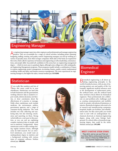

# Engineering Manager

An engineering manager supervises other engineers and professionals and manages engineering projects. They are accountable for a range of critical activities, including project planning, budgeting, staffing, training, and quality control. Engineering managers can end up working in a variety of specialty areas, most often in larger companies. Both sides of the brain are required for this work, which calls for experience in business and engineering as well as leadership, communications, and people skills. Successful job candidates in this arena have an engineering management degree — which in most cases is a graduate degree, although some colleges now offer undergraduate Engineering Management programs. These programs usually include a combination of classes in systems engineering, project management, accounting, finance, quality control, mathematical modeling, health and safety, and human resources management. The more experienced an engineering manager is, the higher the salary. Annual median pay: **\$119,000.**



## **Biomedical** Engineer

**Statistician** 

If you really like numbers and lots of<br>them, this career could be in your f you really like numbers and lots of wheelhouse. Statisticians can land jobs in both businesses and the government, working wherever data is needed to report results, inform decisions, test theories, or draw conclusions about the effectiveness of a practice or message. Fields where statisticians work include medicine, the environment, politics, government agencies, and a range of consumer-facing industries. The work includes not only collecting and analyzing data, but also drawing conclusions and reporting on them. Strong verbal skills are a real asset in this position, as you can end up explaining complex statistical data to people with not-so-statistical backgrounds. Many statisticians work in office settings during regular business hours, although some do field research. For an entrylevel statistician, you would want an undergraduate degree in statistics and a background working with various types of computer software. Median annual pay: **\$80,000.**



biomedical engineering is all about applying engineering principles to the world of medical science, with an aim of improving patient care and quality of life. For example, significant medical advances such as the development of replacement joints, the artificial heart, and the artificial hand have involved critical efforts by biomedical engineers. These professionals also collaborate on and problem-solve challenges such as creating communications and mobility tools for people with physical limitations or injuries. Biomedical engineer jobs tend to be in research and manufacturing companies, hospitals, health care facilities, and rehabilitation units. For this career path, you would want to start with an undergraduate mechanical, electrical, or chemical engineering degree, along with some biology background. If a school offers a biomedical engineering degree, that could be the ticket. Median annual pay: **\$91,000.**

#### **MEET 5 NATIVE STEM STARS**

They did it, and so can you! Find out how these Native professionals launched their careers in these top STEM fields, in our Summer Digital Guide.